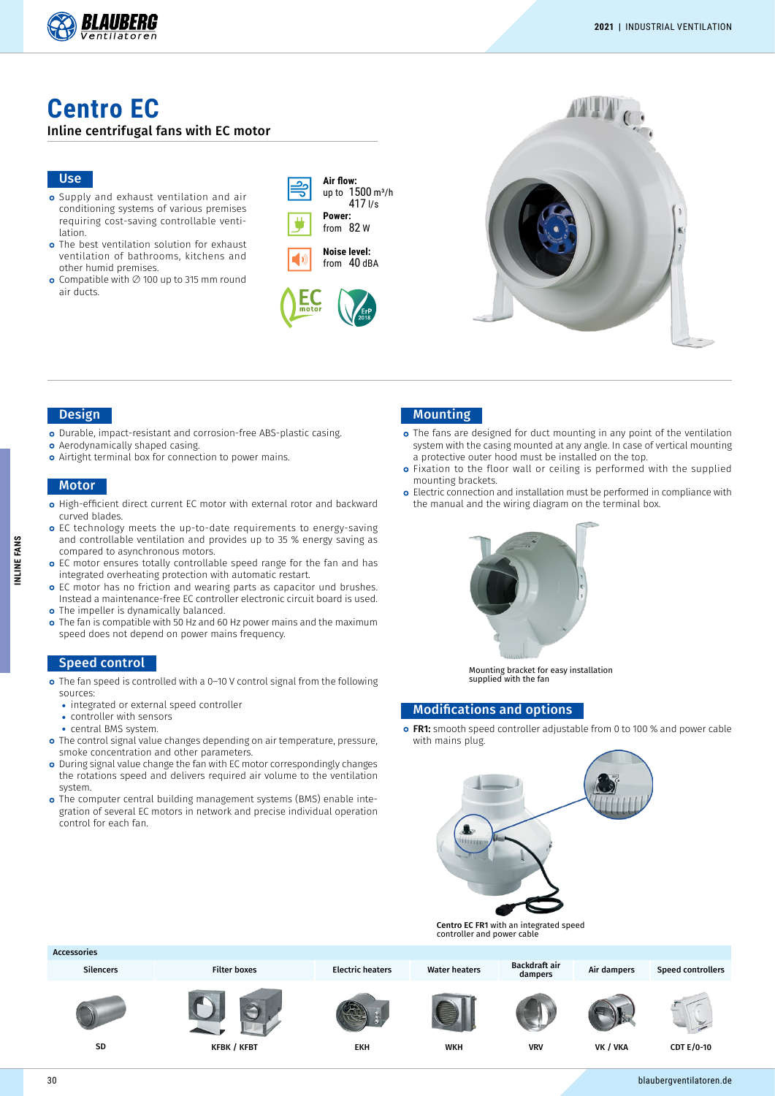

# **Centro EC**

### Inline centrifugal fans with EC motor

#### Use

- Supply and exhaust ventilation and air conditioning systems of various premises requiring cost-saving controllable ventilation.
- o The best ventilation solution for exhaust ventilation of bathrooms, kitchens and other humid premises.
- Compatible with ∅ 100 up to 315 mm round air ducts.

| Air flow:<br>up to 1500 m <sup>3</sup> /h<br>$417$ I/s |
|--------------------------------------------------------|
| Power:                                                 |
| -82 W<br>from                                          |







#### Design

- o Durable, impact-resistant and corrosion-free ABS-plastic casing.
- **o** Aerodynamically shaped casing.
- **o** Airtight terminal box for connection to power mains.

#### **Motor**

- High-efficient direct current EC motor with external rotor and backward curved blades.
- EC technology meets the up-to-date requirements to energy-saving and controllable ventilation and provides up to 35 % energy saving as compared to asynchronous motors.
- o EC motor ensures totally controllable speed range for the fan and has integrated overheating protection with automatic restart.
- o EC motor has no friction and wearing parts as capacitor und brushes. Instead a maintenance-free EC controller electronic circuit board is used. o The impeller is dynamically balanced.
- The fan is compatible with 50 Hz and 60 Hz power mains and the maximum speed does not depend on power mains frequency.

### Speed control

- The fan speed is controlled with a 0–10 V control signal from the following sources:
	- **•** integrated or external speed controller
	- **•** controller with sensors
	- **•** central BMS system.
- The control signal value changes depending on air temperature, pressure, smoke concentration and other parameters
- o During signal value change the fan with EC motor correspondingly changes the rotations speed and delivers required air volume to the ventilation system.
- o The computer central building management systems (BMS) enable integration of several EC motors in network and precise individual operation control for each fan.

## Mounting

- o The fans are designed for duct mounting in any point of the ventilation system with the casing mounted at any angle. In case of vertical mounting a protective outer hood must be installed on the top.
- o Fixation to the floor wall or ceiling is performed with the supplied mounting brackets.
- o Electric connection and installation must be performed in compliance with the manual and the wiring diagram on the terminal box.



Mounting bracket for easy installation supplied with the fan

## Modifications and options

o FR1: smooth speed controller adjustable from 0 to 100 % and power cable with mains plug.



Centro EC FR1 with an integrated speed controller and power cable

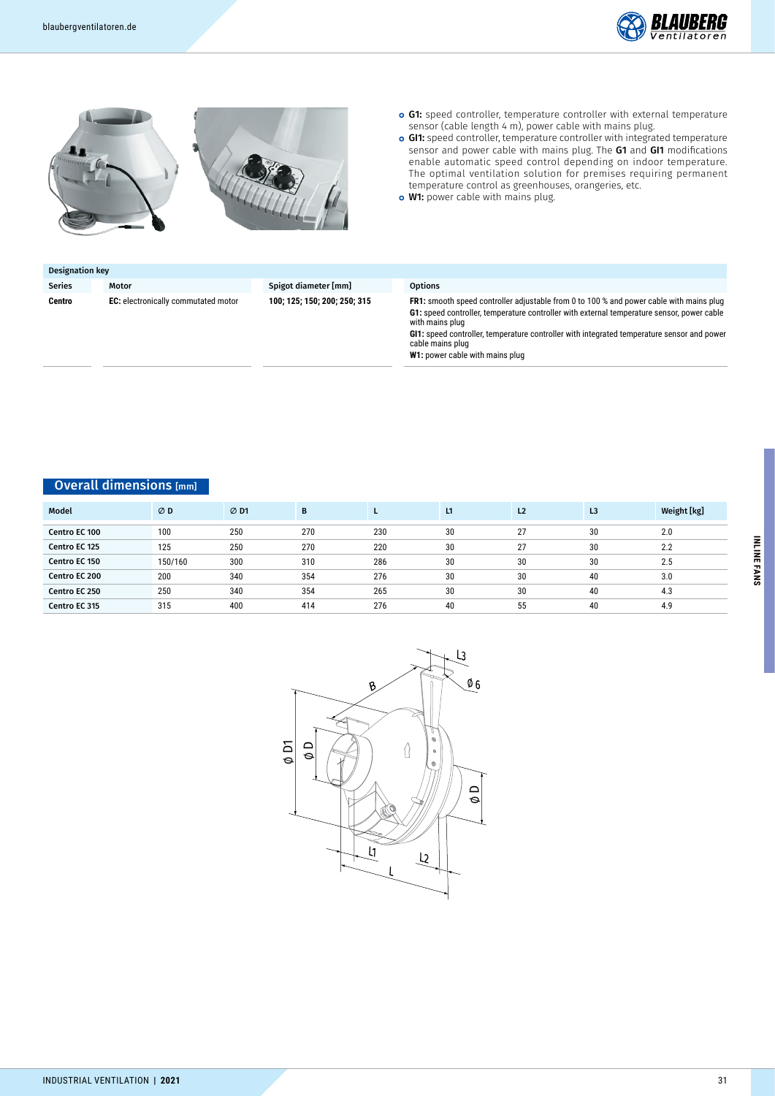





- o G1: speed controller, temperature controller with external temperature sensor (cable length 4 m), power cable with mains plug.
- **o GI1:** speed controller, temperature controller with integrated temperature sensor and power cable with mains plug. The G1 and GI1 modifications enable automatic speed control depending on indoor temperature. The optimal ventilation solution for premises requiring permanent temperature control as greenhouses, orangeries, etc.
- o W1: power cable with mains plug.

| Designation key |                                            |                              |                                                                                                                       |
|-----------------|--------------------------------------------|------------------------------|-----------------------------------------------------------------------------------------------------------------------|
| <b>Series</b>   | Motor                                      | Spigot diameter [mm]         | <b>Options</b>                                                                                                        |
| Centro          | <b>EC:</b> electronically commutated motor | 100; 125; 150; 200; 250; 315 | <b>FR1:</b> smooth speed controller adjustable from 0 to 100 % and power cable with mains plug                        |
|                 |                                            |                              | <b>G1:</b> speed controller, temperature controller with external temperature sensor, power cable<br>with mains plug  |
|                 |                                            |                              | <b>GI1:</b> speed controller, temperature controller with integrated temperature sensor and power<br>cable mains plug |

**W1:** power cable with mains plug

## Overall dimensions [mm]

| Model         | ØD      | ØD1 | B   |     | L1 | L <sub>2</sub> | L <sub>3</sub> | Weight [kg] |
|---------------|---------|-----|-----|-----|----|----------------|----------------|-------------|
| Centro EC 100 | 100     | 250 | 270 | 230 | 30 | 27             | 30             | 2.0         |
| Centro EC 125 | 125     | 250 | 270 | 220 | 30 | 27             | 30             | 2.2         |
| Centro EC 150 | 150/160 | 300 | 310 | 286 | 30 | 30             | 30             | 2.5         |
| Centro EC 200 | 200     | 340 | 354 | 276 | 30 | 30             | 40             | 3.0         |
| Centro EC 250 | 250     | 340 | 354 | 265 | 30 | 30             | 40             | 4.3         |
| Centro EC 315 | 315     | 400 | 414 | 276 | 40 | 55             | 40             | 4.9         |

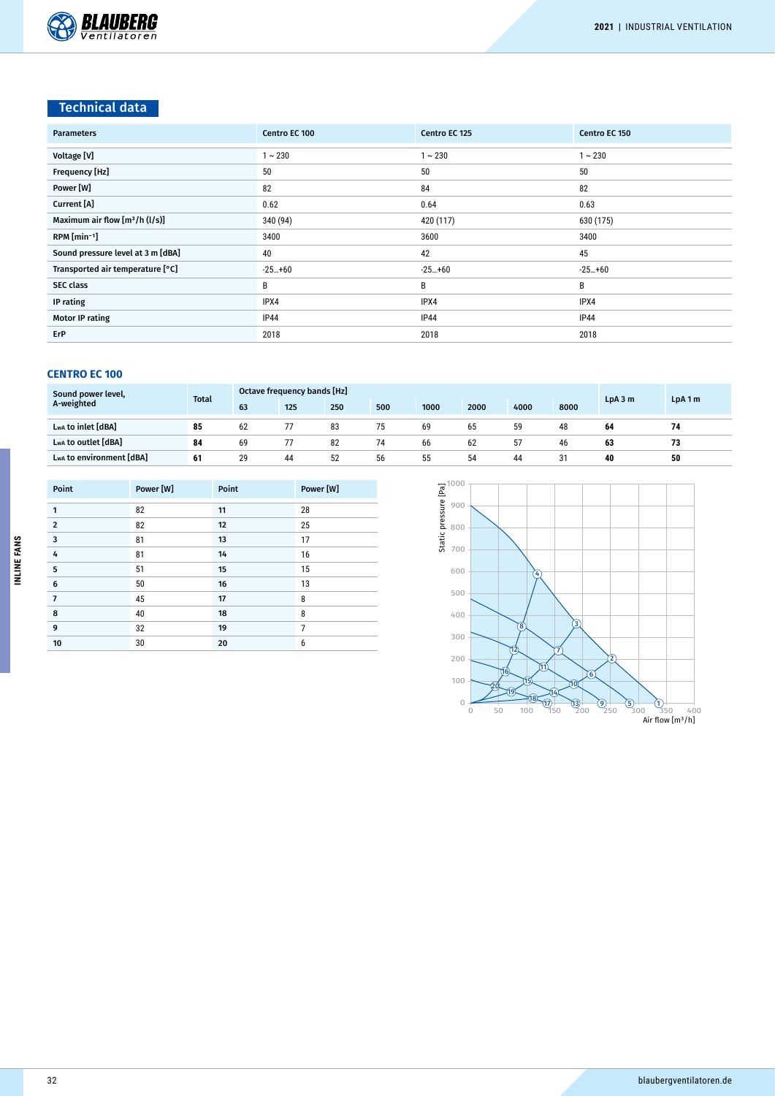

## Technical data

| <b>Parameters</b>                 | Centro EC 100 | Centro EC 125 | Centro EC 150 |
|-----------------------------------|---------------|---------------|---------------|
| Voltage [V]                       | $1 - 230$     | $\sim 230$    | $1 \sim 230$  |
| Frequency [Hz]                    | 50            | 50            | 50            |
| Power [W]                         | 82            | 84            | 82            |
| Current [A]                       | 0.62          | 0.64          | 0.63          |
| Maximum air flow $[m^3/h (l/s)]$  | 340 (94)      | 420 (117)     | 630 (175)     |
| RPM [min-1]                       | 3400          | 3600          | 3400          |
| Sound pressure level at 3 m [dBA] | 40            | 42            | 45            |
| Transported air temperature [°C]  | $-25+60$      | $-25+60$      | $-25+60$      |
| <b>SEC class</b>                  | B             | В             | В             |
| IP rating                         | IPX4          | IPX4          | IPX4          |
| <b>Motor IP rating</b>            | IP44          | <b>IP44</b>   | <b>IP44</b>   |
| ErP                               | 2018          | 2018          | 2018          |

| Sound power level,<br>A-weighted | <b>Total</b> | Octave frequency bands [Hz] |     |     |     |      |      |      |      | LDA3m | LpA1m |
|----------------------------------|--------------|-----------------------------|-----|-----|-----|------|------|------|------|-------|-------|
|                                  |              | 63                          | 125 | 250 | 500 | 1000 | 2000 | 4000 | 8000 |       |       |
| LwA to inlet [dBA]               | 85           | 62                          |     | 83  | 75  | 69   | 65   | 59   | 48   | 64    |       |
| LwA to outlet [dBA]              | 84           | 69                          | 77  | 82  | 74  | 66   | 62   | 57   | 46   | 63    | 73    |
| Lwa to environment [dBA]         | 61           | 29                          | 44  | 52  | 56  | 55   | 54   | 44   | 31   | 40    | 50    |

| Point          | Power [W] | Point | Power [W] |
|----------------|-----------|-------|-----------|
| 1              | 82        | 11    | 28        |
| $\overline{2}$ | 82        | 12    | 25        |
| 3              | 81        | 13    | 17        |
| 4              | 81        | 14    | 16        |
| 5              | 51        | 15    | 15        |
| 6              | 50        | 16    | 13        |
| $\overline{7}$ | 45        | 17    | 8         |
| 8              | 40        | 18    | 8         |
| 9              | 32        | 19    | 7         |
| 10             | 30        | 20    | 6         |

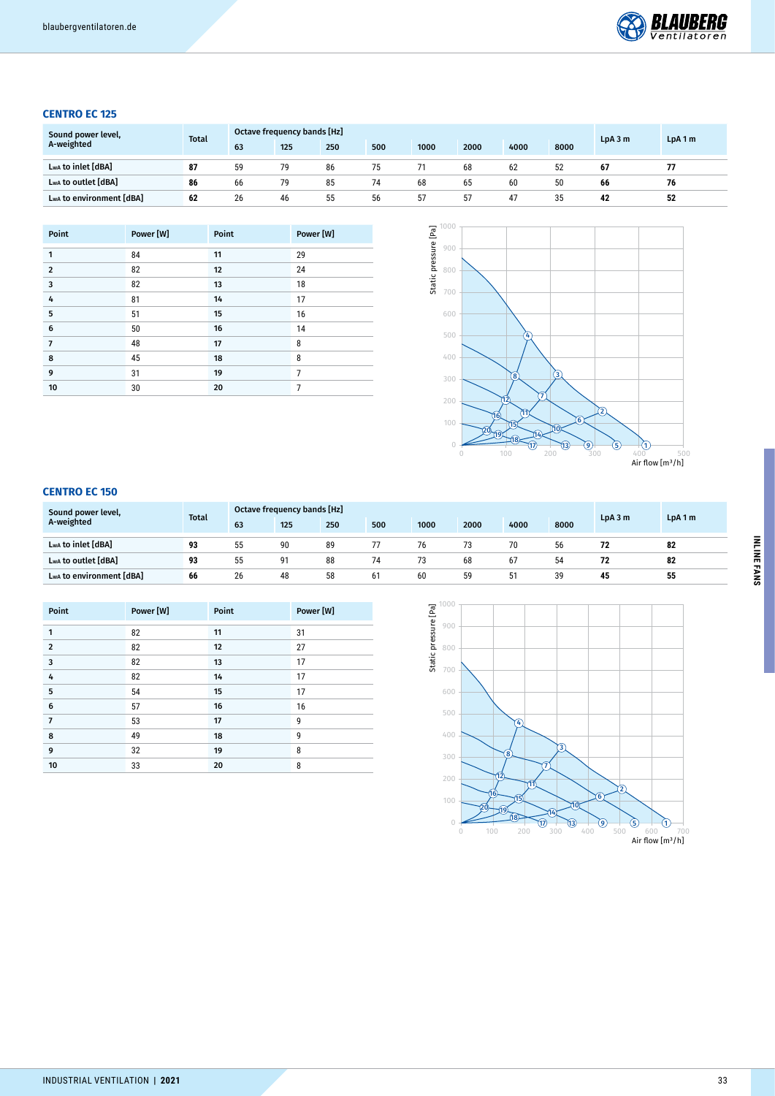

## **CENTRO EC 125**

| Sound power level,<br>A-weighted | <b>Total</b> | Octave frequency bands [Hz] |     |     |     |      |      |      |      | LpA3m | LpA1m |
|----------------------------------|--------------|-----------------------------|-----|-----|-----|------|------|------|------|-------|-------|
|                                  |              | 63                          | 125 | 250 | 500 | 1000 | 2000 | 4000 | 8000 |       |       |
| Lwa to inlet [dBA]               | 87           | 59                          | 79  | 86  | 75  |      | 68   | 62   | 52   | 67    |       |
| LwA to outlet [dBA]              | 86           | 66                          | 79  | 85  | 74  | 68   | 65   | 60   | 50   | 66    | 76    |
| Lwa to environment [dBA]         | 62           | 26                          | 46  | 55  | 56  | 57   | 57   | 47   | 35   | 42    | 52    |

| Point          | Power [W] | Point | Power [W] |
|----------------|-----------|-------|-----------|
| 1              | 84        | 11    | 29        |
| $\overline{2}$ | 82        | 12    | 24        |
| 3              | 82        | 13    | 18        |
| 4              | 81        | 14    | 17        |
| 5              | 51        | 15    | 16        |
| 6              | 50        | 16    | 14        |
| $\overline{7}$ | 48        | 17    | 8         |
| 8              | 45        | 18    | 8         |
| 9              | 31        | 19    | 7         |
| 10             | 30        | 20    | 7         |



| Sound power level,<br>A-weighted | <b>Total</b> | <b>Octave frequency bands [Hz]</b> |     |     |     |      |      |      |      |       | LpA1m |
|----------------------------------|--------------|------------------------------------|-----|-----|-----|------|------|------|------|-------|-------|
|                                  |              | 63                                 | 125 | 250 | 500 | 1000 | 2000 | 4000 | 8000 | LpA3m |       |
| Lwa to inlet [dBA]               | 93           | 55                                 | 90  | 89  | 77  | 76   | 73   | 70   | 56   | 72    | 82    |
| LwA to outlet [dBA]              | 93           | 55                                 | 91  | 88  | 74  | 73   | 68   | 67   | 54   | 72    | 82    |
| Lwa to environment [dBA]         | 66           | 26                                 | 48  | 58  | 61  | 60   | 59   | 51   | 39   | 45    | 55    |

| Point          | Power [W] | Point | Power [W] |
|----------------|-----------|-------|-----------|
| 1              | 82        | 11    | 31        |
| $\overline{2}$ | 82        | 12    | 27        |
| 3              | 82        | 13    | 17        |
| 4              | 82        | 14    | 17        |
| 5              | 54        | 15    | 17        |
| 6              | 57        | 16    | 16        |
| $\overline{7}$ | 53        | 17    | 9         |
| 8              | 49        | 18    | 9         |
| 9              | 32        | 19    | 8         |
| 10             | 33        | 20    | 8         |

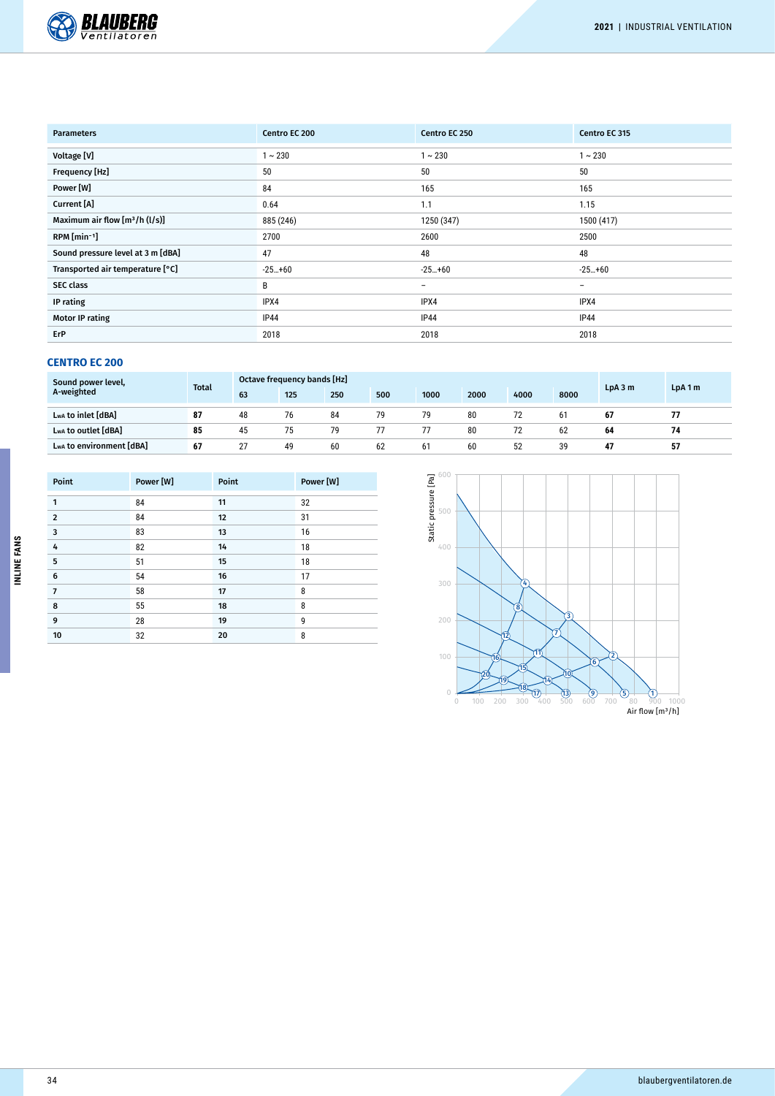

| <b>Parameters</b>                 | Centro EC 200 | Centro EC 250            | Centro EC 315            |
|-----------------------------------|---------------|--------------------------|--------------------------|
| Voltage [V]                       | $1 - 230$     | $1 - 230$                | $1 - 230$                |
| Frequency [Hz]                    | 50            | 50                       | 50                       |
| Power [W]                         | 84            | 165                      | 165                      |
| Current [A]                       | 0.64          | 1.1                      | 1.15                     |
| Maximum air flow $[m^3/h (l/s)]$  | 885 (246)     | 1250 (347)               | 1500 (417)               |
| $RPM$ [min-1]                     | 2700          | 2600                     | 2500                     |
| Sound pressure level at 3 m [dBA] | 47            | 48                       | 48                       |
| Transported air temperature [°C]  | $-25+60$      | $-25+60$                 | $-25+60$                 |
| <b>SEC class</b>                  | B             | $\overline{\phantom{0}}$ | $\overline{\phantom{a}}$ |
| IP rating                         | IPX4          | IPX4                     | IPX4                     |
| <b>Motor IP rating</b>            | <b>IP44</b>   | IP44                     | <b>IP44</b>              |
| ErP                               | 2018          | 2018                     | 2018                     |

| Sound power level,<br>A-weighted | <b>Total</b> | Octave frequency bands [Hz] |     |     |     |      |      |      | LpA3m | LpA1m |    |
|----------------------------------|--------------|-----------------------------|-----|-----|-----|------|------|------|-------|-------|----|
|                                  |              | 63                          | 125 | 250 | 500 | 1000 | 2000 | 4000 | 8000  |       |    |
| Lwa to inlet [dBA]               | 87           | 48                          | 76  | 84  | 79  | 79   | 80   | 72   | 61    | 67    |    |
| LwA to outlet [dBA]              | 85           | 45                          | 75  | 79  | 77  |      | 80   | 72   | 62    | 64    | 74 |
| Lwa to environment [dBA]         | 67           | 27                          | 49  | 60  | 62  | 61   | 60   | 52   | 39    | 47    | 57 |

| Point          | Power [W] | Point | Power [W] |
|----------------|-----------|-------|-----------|
| 1              | 84        | 11    | 32        |
| $\overline{2}$ | 84        | 12    | 31        |
| 3              | 83        | 13    | 16        |
| 4              | 82        | 14    | 18        |
| 5              | 51        | 15    | 18        |
| 6              | 54        | 16    | 17        |
| $\overline{7}$ | 58        | 17    | 8         |
| 8              | 55        | 18    | 8         |
| 9              | 28        | 19    | 9         |
| 10             | 32        | 20    | 8         |